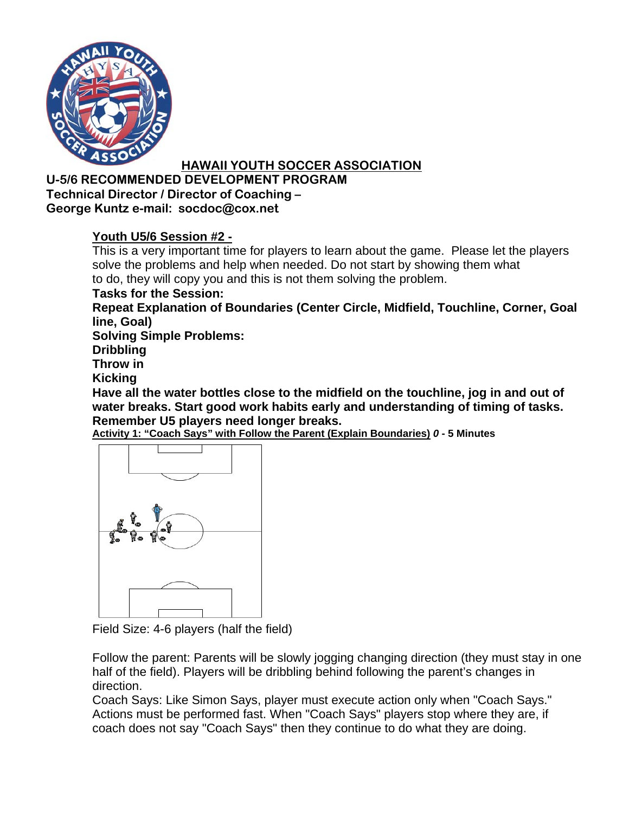

#### **U-5/6 RECOMMENDED DEVELOPMENT PROGRAM Technical Director / Director of Coaching – George Kuntz e-mail: socdoc@cox.net**

## **Youth U5/6 Session #2 -**

This is a very important time for players to learn about the game. Please let the players solve the problems and help when needed. Do not start by showing them what to do, they will copy you and this is not them solving the problem.

**Tasks for the Session:** 

**Repeat Explanation of Boundaries (Center Circle, Midfield, Touchline, Corner, Goal line, Goal)** 

**Solving Simple Problems:** 

**Dribbling** 

**Throw in** 

**Kicking** 

**Have all the water bottles close to the midfield on the touchline, jog in and out of water breaks. Start good work habits early and understanding of timing of tasks. Remember U5 players need longer breaks.** 

**Activity 1: "Coach Says" with Follow the Parent (Explain Boundaries)** *0* **- 5 Minutes**



Field Size: 4-6 players (half the field)

Follow the parent: Parents will be slowly jogging changing direction (they must stay in one half of the field). Players will be dribbling behind following the parent's changes in direction.

Coach Says: Like Simon Says, player must execute action only when "Coach Says." Actions must be performed fast. When "Coach Says" players stop where they are, if coach does not say "Coach Says" then they continue to do what they are doing.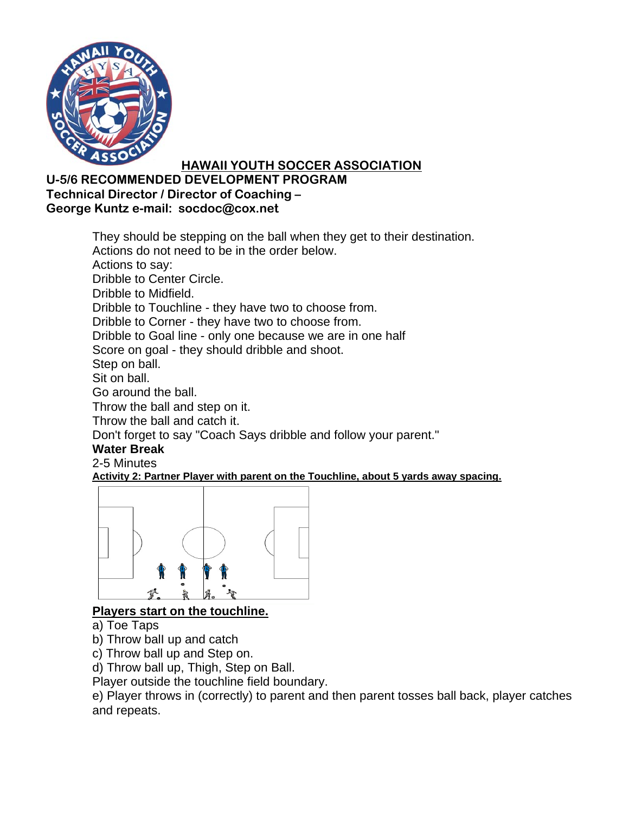

### **U-5/6 RECOMMENDED DEVELOPMENT PROGRAM Technical Director / Director of Coaching – George Kuntz e-mail: socdoc@cox.net**

They should be stepping on the ball when they get to their destination. Actions do not need to be in the order below. Actions to say: Dribble to Center Circle. Dribble to Midfield. Dribble to Touchline - they have two to choose from. Dribble to Corner - they have two to choose from. Dribble to Goal line - only one because we are in one half Score on goal - they should dribble and shoot. Step on ball. Sit on ball. Go around the ball. Throw the ball and step on it. Throw the ball and catch it. Don't forget to say "Coach Says dribble and follow your parent." **Water Break** 2-5 Minutes **Activity 2: Partner Player with parent on the Touchline, about 5 yards away spacing.**



## **Players start on the touchline.**

- a) Toe Taps
- b) Throw balI up and catch
- c) Throw ball up and Step on.

d) Throw ball up, Thigh, Step on Ball.

Player outside the touchline field boundary.

e) Player throws in (correctly) to parent and then parent tosses ball back, player catches and repeats.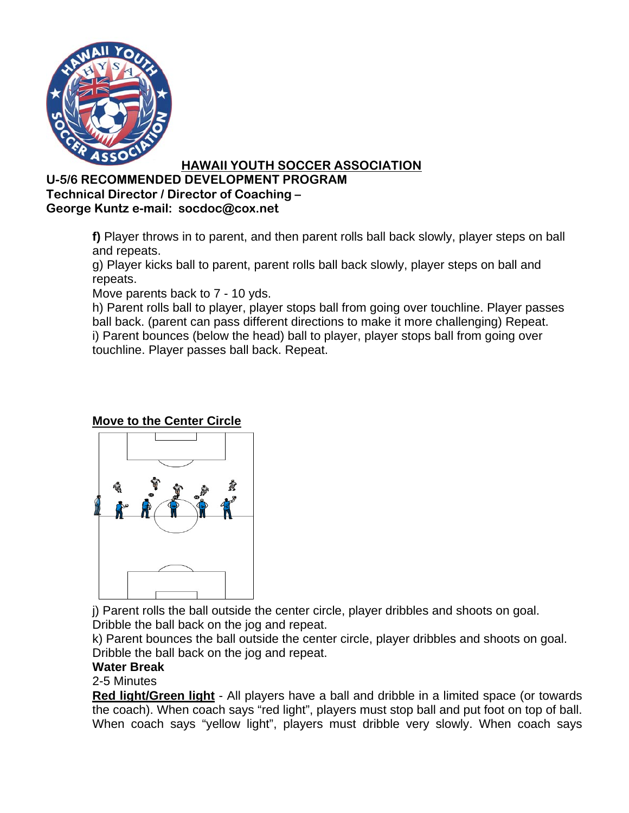

#### **U-5/6 RECOMMENDED DEVELOPMENT PROGRAM Technical Director / Director of Coaching – George Kuntz e-mail: socdoc@cox.net**

**f)** Player throws in to parent, and then parent rolls ball back slowly, player steps on ball and repeats.

g) Player kicks ball to parent, parent rolls ball back slowly, player steps on ball and repeats.

Move parents back to 7 - 10 yds.

h) Parent rolls ball to player, player stops ball from going over touchline. Player passes ball back. (parent can pass different directions to make it more challenging) Repeat. i) Parent bounces (below the head) ball to player, player stops ball from going over touchline. Player passes ball back. Repeat.

# **Move to the Center Circle**



j) Parent rolls the ball outside the center circle, player dribbles and shoots on goal. Dribble the ball back on the jog and repeat.

k) Parent bounces the ball outside the center circle, player dribbles and shoots on goal. Dribble the ball back on the jog and repeat.

### **Water Break**

2-5 Minutes

**Red light/Green light** - All players have a ball and dribble in a limited space (or towards the coach). When coach says "red light", players must stop ball and put foot on top of ball. When coach says "yellow light", players must dribble very slowly. When coach says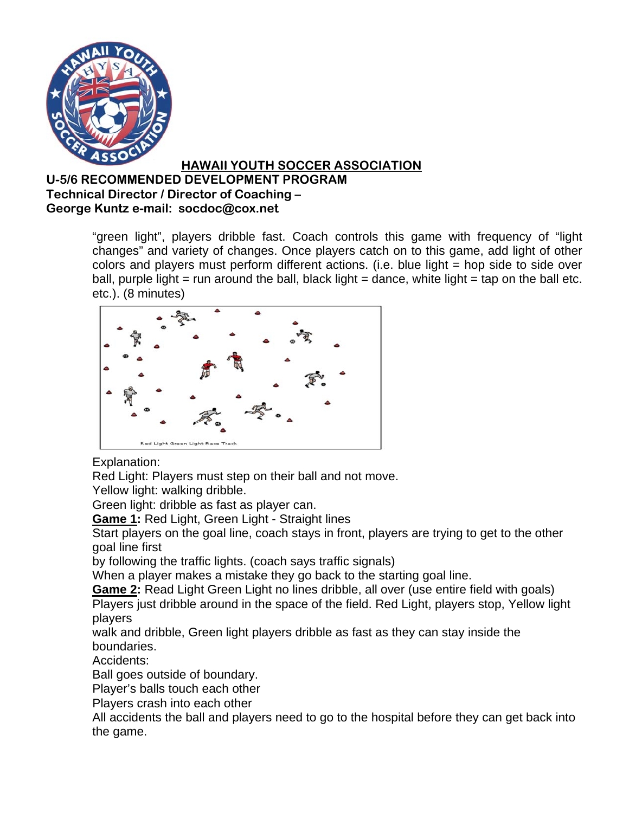

### **U-5/6 RECOMMENDED DEVELOPMENT PROGRAM Technical Director / Director of Coaching – George Kuntz e-mail: socdoc@cox.net**

"green light", players dribble fast. Coach controls this game with frequency of "light changes" and variety of changes. Once players catch on to this game, add light of other colors and players must perform different actions. (i.e. blue light = hop side to side over ball, purple light = run around the ball, black light = dance, white light = tap on the ball etc. etc.). (8 minutes)



## Explanation:

Red Light: Players must step on their ball and not move.

Yellow light: walking dribble.

Green light: dribble as fast as player can.

**Game 1:** Red Light, Green Light - Straight lines

Start players on the goal line, coach stays in front, players are trying to get to the other goal line first

by following the traffic lights. (coach says traffic signals)

When a player makes a mistake they go back to the starting goal line.

**Game 2:** Read Light Green Light no lines dribble, all over (use entire field with goals) Players just dribble around in the space of the field. Red Light, players stop, Yellow light players

walk and dribble, Green light players dribble as fast as they can stay inside the boundaries.

Accidents:

Ball goes outside of boundary.

Player's balls touch each other

Players crash into each other

All accidents the ball and players need to go to the hospital before they can get back into the game.